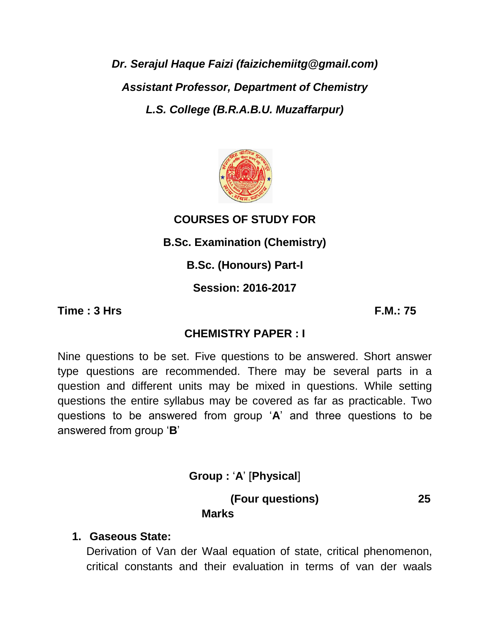*Dr. Serajul Haque Faizi (faizichemiitg@gmail.com) Assistant Professor, Department of Chemistry L.S. College (B.R.A.B.U. Muzaffarpur)*



### **COURSES OF STUDY FOR**

**B.Sc. Examination (Chemistry)**

**B.Sc. (Honours) Part-I**

**Session: 2016-2017**

**Time : 3 Hrs F.M.: 75**

### **CHEMISTRY PAPER : I**

Nine questions to be set. Five questions to be answered. Short answer type questions are recommended. There may be several parts in a question and different units may be mixed in questions. While setting questions the entire syllabus may be covered as far as practicable. Two questions to be answered from group '**A**' and three questions to be answered from group '**B**'

**Group :** '**A**' [**Physical**]

**(Four questions) 25** 

# **Marks**

#### **1. Gaseous State:**

Derivation of Van der Waal equation of state, critical phenomenon, critical constants and their evaluation in terms of van der waals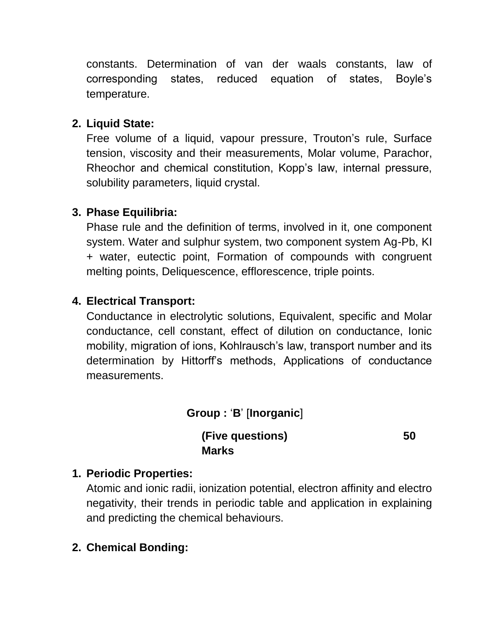constants. Determination of van der waals constants, law of corresponding states, reduced equation of states, Boyle's temperature.

## **2. Liquid State:**

Free volume of a liquid, vapour pressure, Trouton's rule, Surface tension, viscosity and their measurements, Molar volume, Parachor, Rheochor and chemical constitution, Kopp's law, internal pressure, solubility parameters, liquid crystal.

### **3. Phase Equilibria:**

Phase rule and the definition of terms, involved in it, one component system. Water and sulphur system, two component system Ag-Pb, KI + water, eutectic point, Formation of compounds with congruent melting points, Deliquescence, efflorescence, triple points.

## **4. Electrical Transport:**

Conductance in electrolytic solutions, Equivalent, specific and Molar conductance, cell constant, effect of dilution on conductance, Ionic mobility, migration of ions, Kohlrausch's law, transport number and its determination by Hittorff's methods, Applications of conductance measurements.

## **Group :** '**B**' [**Inorganic**]

**(Five questions) 50 Marks**

## **1. Periodic Properties:**

Atomic and ionic radii, ionization potential, electron affinity and electro negativity, their trends in periodic table and application in explaining and predicting the chemical behaviours.

## **2. Chemical Bonding:**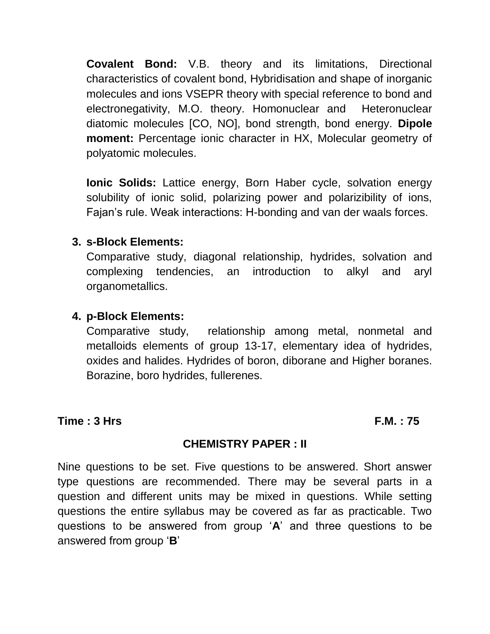**Covalent Bond:** V.B. theory and its limitations, Directional characteristics of covalent bond, Hybridisation and shape of inorganic molecules and ions VSEPR theory with special reference to bond and electronegativity, M.O. theory. Homonuclear and Heteronuclear diatomic molecules [CO, NO], bond strength, bond energy. **Dipole moment:** Percentage ionic character in HX, Molecular geometry of polyatomic molecules.

**Ionic Solids:** Lattice energy, Born Haber cycle, solvation energy solubility of ionic solid, polarizing power and polarizibility of ions, Fajan's rule. Weak interactions: H-bonding and van der waals forces.

#### **3. s-Block Elements:**

Comparative study, diagonal relationship, hydrides, solvation and complexing tendencies, an introduction to alkyl and aryl organometallics.

#### **4. p-Block Elements:**

Comparative study, relationship among metal, nonmetal and metalloids elements of group 13-17, elementary idea of hydrides, oxides and halides. Hydrides of boron, diborane and Higher boranes. Borazine, boro hydrides, fullerenes.

#### **Time : 3 Hrs F.M. : 75**

#### **CHEMISTRY PAPER : II**

Nine questions to be set. Five questions to be answered. Short answer type questions are recommended. There may be several parts in a question and different units may be mixed in questions. While setting questions the entire syllabus may be covered as far as practicable. Two questions to be answered from group '**A**' and three questions to be answered from group '**B**'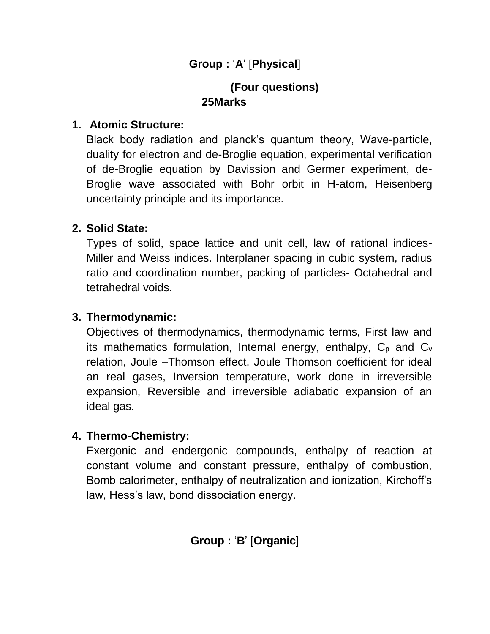## **Group :** '**A**' [**Physical**]

## **(Four questions) 25Marks**

#### **1. Atomic Structure:**

Black body radiation and planck's quantum theory, Wave-particle, duality for electron and de-Broglie equation, experimental verification of de-Broglie equation by Davission and Germer experiment, de-Broglie wave associated with Bohr orbit in H-atom, Heisenberg uncertainty principle and its importance.

#### **2. Solid State:**

Types of solid, space lattice and unit cell, law of rational indices-Miller and Weiss indices. Interplaner spacing in cubic system, radius ratio and coordination number, packing of particles- Octahedral and tetrahedral voids.

#### **3. Thermodynamic:**

Objectives of thermodynamics, thermodynamic terms, First law and its mathematics formulation, Internal energy, enthalpy,  $C_p$  and  $C_v$ relation, Joule –Thomson effect, Joule Thomson coefficient for ideal an real gases, Inversion temperature, work done in irreversible expansion, Reversible and irreversible adiabatic expansion of an ideal gas.

#### **4. Thermo-Chemistry:**

Exergonic and endergonic compounds, enthalpy of reaction at constant volume and constant pressure, enthalpy of combustion, Bomb calorimeter, enthalpy of neutralization and ionization, Kirchoff's law, Hess's law, bond dissociation energy.

**Group :** '**B**' [**Organic**]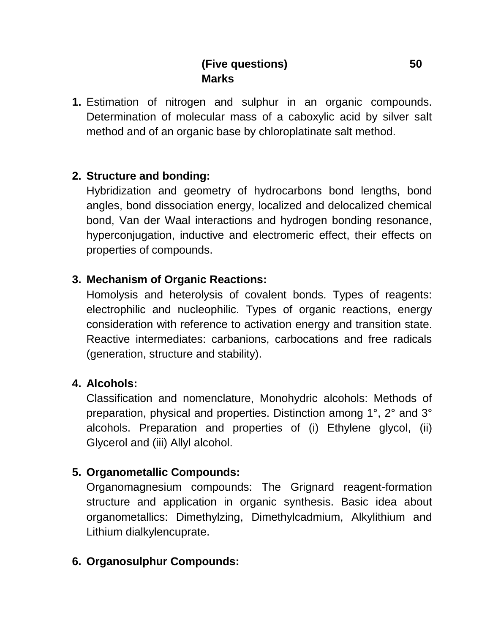## **(Five questions) 50 Marks**

**1.** Estimation of nitrogen and sulphur in an organic compounds. Determination of molecular mass of a caboxylic acid by silver salt method and of an organic base by chloroplatinate salt method.

#### **2. Structure and bonding:**

Hybridization and geometry of hydrocarbons bond lengths, bond angles, bond dissociation energy, localized and delocalized chemical bond, Van der Waal interactions and hydrogen bonding resonance, hyperconjugation, inductive and electromeric effect, their effects on properties of compounds.

#### **3. Mechanism of Organic Reactions:**

Homolysis and heterolysis of covalent bonds. Types of reagents: electrophilic and nucleophilic. Types of organic reactions, energy consideration with reference to activation energy and transition state. Reactive intermediates: carbanions, carbocations and free radicals (generation, structure and stability).

#### **4. Alcohols:**

Classification and nomenclature, Monohydric alcohols: Methods of preparation, physical and properties. Distinction among 1°, 2° and 3° alcohols. Preparation and properties of (i) Ethylene glycol, (ii) Glycerol and (iii) Allyl alcohol.

### **5. Organometallic Compounds:**

Organomagnesium compounds: The Grignard reagent-formation structure and application in organic synthesis. Basic idea about organometallics: Dimethylzing, Dimethylcadmium, Alkylithium and Lithium dialkylencuprate.

### **6. Organosulphur Compounds:**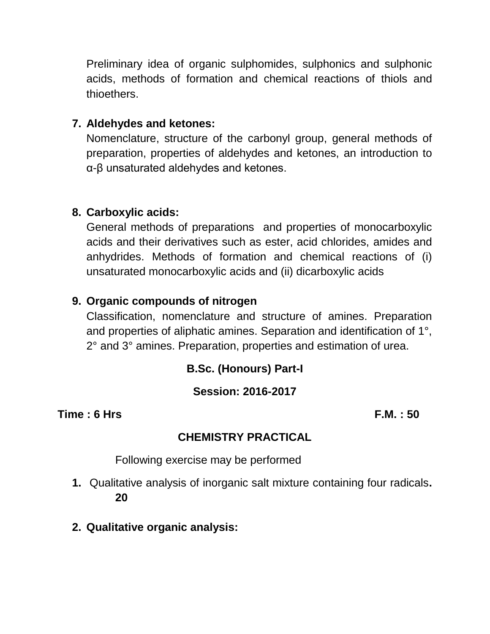Preliminary idea of organic sulphomides, sulphonics and sulphonic acids, methods of formation and chemical reactions of thiols and thioethers.

#### **7. Aldehydes and ketones:**

Nomenclature, structure of the carbonyl group, general methods of preparation, properties of aldehydes and ketones, an introduction to α-β unsaturated aldehydes and ketones.

#### **8. Carboxylic acids:**

General methods of preparations and properties of monocarboxylic acids and their derivatives such as ester, acid chlorides, amides and anhydrides. Methods of formation and chemical reactions of (i) unsaturated monocarboxylic acids and (ii) dicarboxylic acids

#### **9. Organic compounds of nitrogen**

Classification, nomenclature and structure of amines. Preparation and properties of aliphatic amines. Separation and identification of 1°, 2° and 3° amines. Preparation, properties and estimation of urea.

### **B.Sc. (Honours) Part-I**

### **Session: 2016-2017**

**Time : 6 Hrs F.M. : 50**

### **CHEMISTRY PRACTICAL**

Following exercise may be performed

- **1.** Qualitative analysis of inorganic salt mixture containing four radicals**. 20**
- **2. Qualitative organic analysis:**